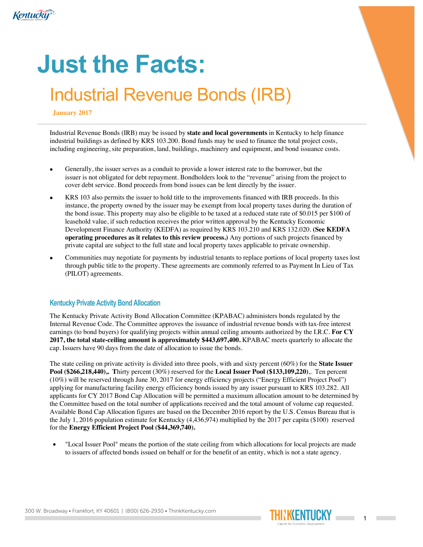

# **Just the Facts:**

# Industrial Revenue Bonds (IRB)

#### **January 2017**

Industrial Revenue Bonds (IRB) may be issued by **state and local governments** in Kentucky to help finance industrial buildings as defined by KRS 103.200. Bond funds may be used to finance the total project costs, including engineering, site preparation, land, buildings, machinery and equipment, and bond issuance costs.

- Generally, the issuer serves as a conduit to provide a lower interest rate to the borrower, but the issuer is not obligated for debt repayment. Bondholders look to the "revenue" arising from the project to cover debt service. Bond proceeds from bond issues can be lent directly by the issuer.
- KRS 103 also permits the issuer to hold title to the improvements financed with IRB proceeds. In this instance, the property owned by the issuer may be exempt from local property taxes during the duration of the bond issue. This property may also be eligible to be taxed at a reduced state rate of \$0.015 per \$100 of leasehold value, if such reduction receives the prior written approval by the Kentucky Economic Development Finance Authority (KEDFA) as required by KRS 103.210 and KRS 132.020. **(See KEDFA operating procedures as it relates to this review process.)** Any portions of such projects financed by private capital are subject to the full state and local property taxes applicable to private ownership.
- Communities may negotiate for payments by industrial tenants to replace portions of local property taxes lost through public title to the property. These agreements are commonly referred to as Payment In Lieu of Tax (PILOT) agreements.

## **Kentucky Private Activity Bond Allocation**

The Kentucky Private Activity Bond Allocation Committee (KPABAC) administers bonds regulated by the Internal Revenue Code. The Committee approves the issuance of industrial revenue bonds with tax-free interest earnings (to bond buyers) for qualifying projects within annual ceiling amounts authorized by the I.R.C. **For CY 2017, the total state-ceiling amount is approximately \$443,697,400.** KPABAC meets quarterly to allocate the cap. Issuers have 90 days from the date of allocation to issue the bonds.

The state ceiling on private activity is divided into three pools, with and sixty percent (60%) for the **State Issuer Pool (\$266,218,440),.** Thirty percent (30%) reserved for the **Local Issuer Pool (\$133,109,220)**,. Ten percent (10%) will be reserved through June 30, 2017 for energy efficiency projects ("Energy Efficient Project Pool") applying for manufacturing facility energy efficiency bonds issued by any issuer pursuant to KRS 103.282. All applicants for CY 2017 Bond Cap Allocation will be permitted a maximum allocation amount to be determined by the Committee based on the total number of applications received and the total amount of volume cap requested. Available Bond Cap Allocation figures are based on the December 2016 report by the U.S. Census Bureau that is the July 1, 2016 population estimate for Kentucky (4,436,974) multiplied by the 2017 per capita (\$100) reserved for the **Energy Efficient Project Pool (\$44,369,740).** 

• "Local Issuer Pool" means the portion of the state ceiling from which allocations for local projects are made to issuers of affected bonds issued on behalf or for the benefit of an entity, which is not a state agency.